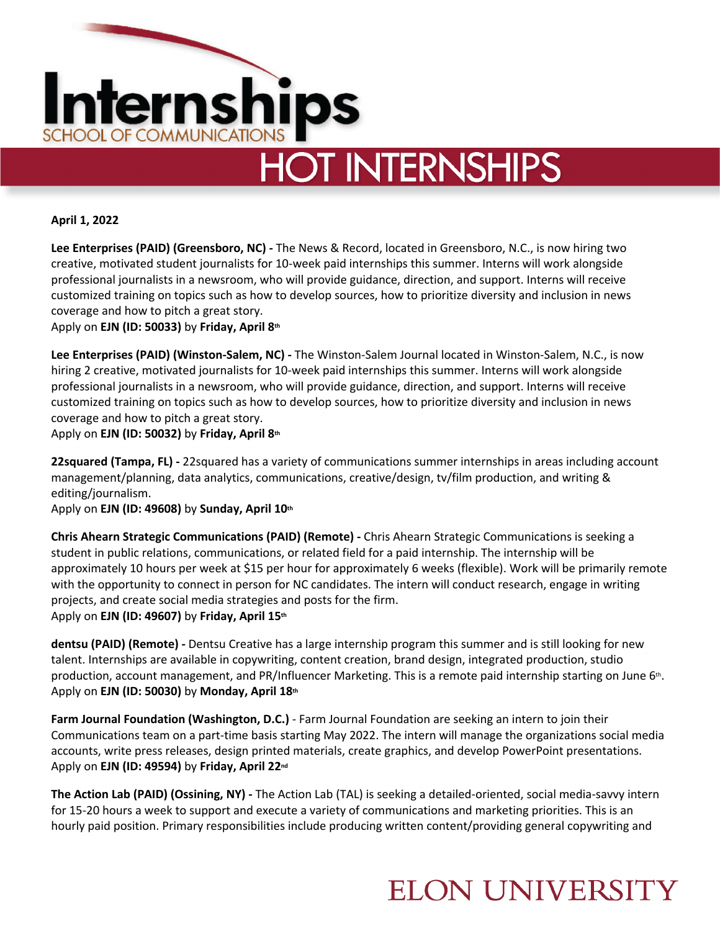

**April 1, 2022**

**Lee Enterprises (PAID) (Greensboro, NC) -** The News & Record, located in Greensboro, N.C., is now hiring two creative, motivated student journalists for 10-week paid internships this summer. Interns will work alongside professional journalists in a newsroom, who will provide guidance, direction, and support. Interns will receive customized training on topics such as how to develop sources, how to prioritize diversity and inclusion in news coverage and how to pitch a great story.

Apply on **EJN (ID: 50033)** by **Friday, April 8th**

**Lee Enterprises (PAID) (Winston-Salem, NC) -** The Winston-Salem Journal located in Winston-Salem, N.C., is now hiring 2 creative, motivated journalists for 10-week paid internships this summer. Interns will work alongside professional journalists in a newsroom, who will provide guidance, direction, and support. Interns will receive customized training on topics such as how to develop sources, how to prioritize diversity and inclusion in news coverage and how to pitch a great story.

Apply on **EJN (ID: 50032)** by **Friday, April 8th**

**22squared (Tampa, FL) -** 22squared has a variety of communications summer internships in areas including account management/planning, data analytics, communications, creative/design, tv/film production, and writing & editing/journalism.

Apply on **EJN (ID: 49608)** by **Sunday, April 10th**

**Chris Ahearn Strategic Communications (PAID) (Remote) -** Chris Ahearn Strategic Communications is seeking a student in public relations, communications, or related field for a paid internship. The internship will be approximately 10 hours per week at \$15 per hour for approximately 6 weeks (flexible). Work will be primarily remote with the opportunity to connect in person for NC candidates. The intern will conduct research, engage in writing projects, and create social media strategies and posts for the firm. Apply on **EJN (ID: 49607)** by **Friday, April 15th**

**dentsu (PAID) (Remote) -** Dentsu Creative has a large internship program this summer and is still looking for new talent. Internships are available in copywriting, content creation, brand design, integrated production, studio production, account management, and PR/Influencer Marketing. This is a remote paid internship starting on June 6<sup>th</sup>. Apply on **EJN (ID: 50030)** by **Monday, April 18th**

**Farm Journal Foundation (Washington, D.C.)** - Farm Journal Foundation are seeking an intern to join their Communications team on a part-time basis starting May 2022. The intern will manage the organizations social media accounts, write press releases, design printed materials, create graphics, and develop PowerPoint presentations. Apply on **EJN (ID: 49594)** by **Friday, April 22nd**

**The Action Lab (PAID) (Ossining, NY) -** The Action Lab (TAL) is seeking a detailed-oriented, social media-savvy intern for 15-20 hours a week to support and execute a variety of communications and marketing priorities. This is an hourly paid position. Primary responsibilities include producing written content/providing general copywriting and

### **ELON UNIVERSITY**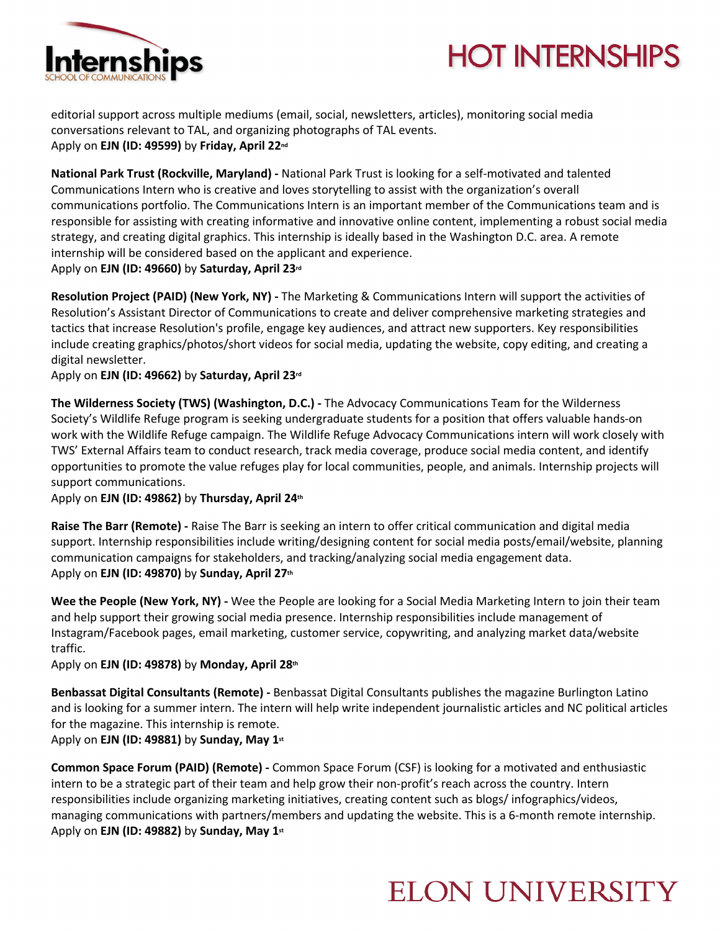

# **HOT INTERNSHIPS**

editorial support across multiple mediums (email, social, newsletters, articles), monitoring social media conversations relevant to TAL, and organizing photographs of TAL events. Apply on **EJN (ID: 49599)** by **Friday, April 22nd**

**National Park Trust (Rockville, Maryland) -** National Park Trust is looking for a self-motivated and talented Communications Intern who is creative and loves storytelling to assist with the organization's overall communications portfolio. The Communications Intern is an important member of the Communications team and is responsible for assisting with creating informative and innovative online content, implementing a robust social media strategy, and creating digital graphics. This internship is ideally based in the Washington D.C. area. A remote internship will be considered based on the applicant and experience. Apply on **EJN (ID: 49660)** by **Saturday, April 23rd**

**Resolution Project (PAID) (New York, NY) -** The Marketing & Communications Intern will support the activities of Resolution's Assistant Director of Communications to create and deliver comprehensive marketing strategies and tactics that increase Resolution's profile, engage key audiences, and attract new supporters. Key responsibilities include creating graphics/photos/short videos for social media, updating the website, copy editing, and creating a digital newsletter.

Apply on **EJN (ID: 49662)** by **Saturday, April 23rd**

**The Wilderness Society (TWS) (Washington, D.C.) -** The Advocacy Communications Team for the Wilderness Society's Wildlife Refuge program is seeking undergraduate students for a position that offers valuable hands-on work with the Wildlife Refuge campaign. The Wildlife Refuge Advocacy Communications intern will work closely with TWS' External Affairs team to conduct research, track media coverage, produce social media content, and identify opportunities to promote the value refuges play for local communities, people, and animals. Internship projects will support communications.

Apply on **EJN (ID: 49862)** by **Thursday, April 24th**

**Raise The Barr (Remote) -** Raise The Barr is seeking an intern to offer critical communication and digital media support. Internship responsibilities include writing/designing content for social media posts/email/website, planning communication campaigns for stakeholders, and tracking/analyzing social media engagement data. Apply on **EJN (ID: 49870)** by **Sunday, April 27th**

**Wee the People (New York, NY) -** Wee the People are looking for a Social Media Marketing Intern to join their team and help support their growing social media presence. Internship responsibilities include management of Instagram/Facebook pages, email marketing, customer service, copywriting, and analyzing market data/website traffic.

Apply on **EJN (ID: 49878)** by **Monday, April 28th**

**Benbassat Digital Consultants (Remote) -** Benbassat Digital Consultants publishes the magazine Burlington Latino and is looking for a summer intern. The intern will help write independent journalistic articles and NC political articles for the magazine. This internship is remote.

Apply on **EJN (ID: 49881)** by **Sunday, May 1st**

**Common Space Forum (PAID) (Remote) -** Common Space Forum (CSF) is looking for a motivated and enthusiastic intern to be a strategic part of their team and help grow their non-profit's reach across the country. Intern responsibilities include organizing marketing initiatives, creating content such as blogs/ infographics/videos, managing communications with partners/members and updating the website. This is a 6-month remote internship. Apply on **EJN (ID: 49882)** by **Sunday, May 1st**

#### **ELON UNIVERSITY**